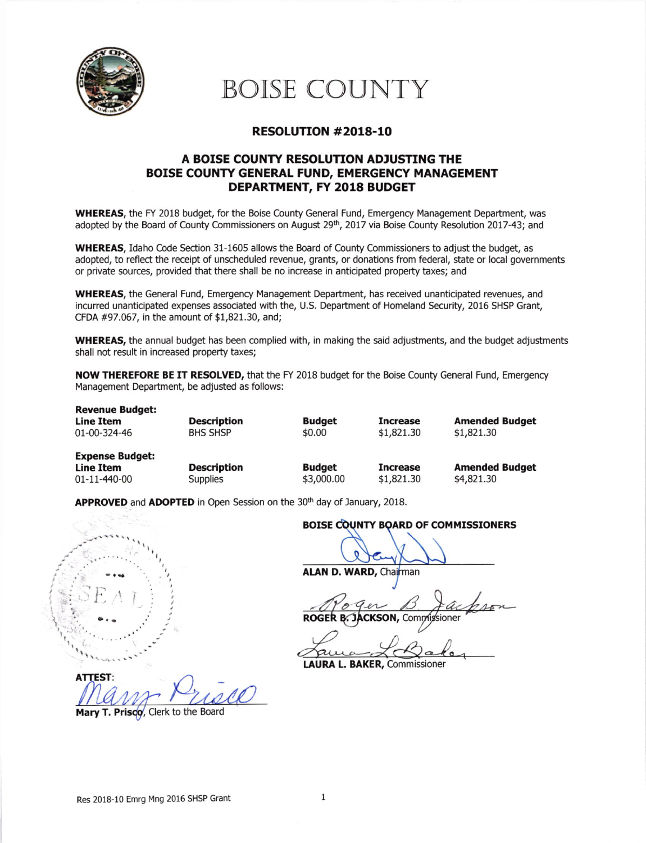

BOISE COUNTY

## RESOLUTION #2018-10

## A BOISE COUNTY RESOLUTION ADJUSTING THE BOISE COUNTY GENERAL FUND, EMERGENCY MANAGEMENT DEPARTMENT, FY 2018 BUDGET

WHEREAS, the FY 2018 budget, for the Boise County General Fund, Emergency Management Department, was adopted by the Board of County Commissioners on August 29<sup>th</sup>, 2017 via Boise County Resolution 2017-43; and

WHEREAS, Idaho Code Section 31-1605 allows the Board of County Commissioners to adjust the budget, as adopted, to reflect the receipt of unscheduled revenue, grants, or donations from federal, state or local governments or private sources, provided that there shall be no increase in anticipated property taxes; and

WHEREAS, the General Fund, Emergency Management Department, has received unanticipated revenues, and incurred unanticipated expenses associated with the, U.S. Department of Homeland Security, 2016 SHSP Grant, CFDA #97.067, in the amount of \$1,821.30, and;

WHEREAS, the annual budget has been complied with, in making the said adjustments, and the budget adjustments shall not result in increased property taxes;

NOW THEREFORE BE IT RESOLVED, that the FY 2018 budget for the Boise County General Fund, Emergency Management Department, be adjusted as follows:

Description BHS SHSP Budget \$0.00 Increase \$1,821.30 Amended Budget \$1,821.30 Revenue Budget: **Line Item** 01-00-324-46

Expense Budget:<br>Line Item  $01 - 11 - 440 - 00$ 

**Description**<br>Supplies

Budget \$3,000.00 Increase \$1,821.30 Amended Budget \$4,821.30

APPROVED and ADOPTED in Open Session on the 30<sup>th</sup> day of January, 2018.

 $\mathcal{L}$ *<i><u>internet</u>* **ATTEST** 

Mary T. Prisco, Clerk to the Board

BOISE COUNTY BOARD OF COMMISSIONERS

ALAN D. WARD, Chairman

**ROGER B. JACKSON, Comn** ioner

a

LAURA L. BAKER, Commissioner